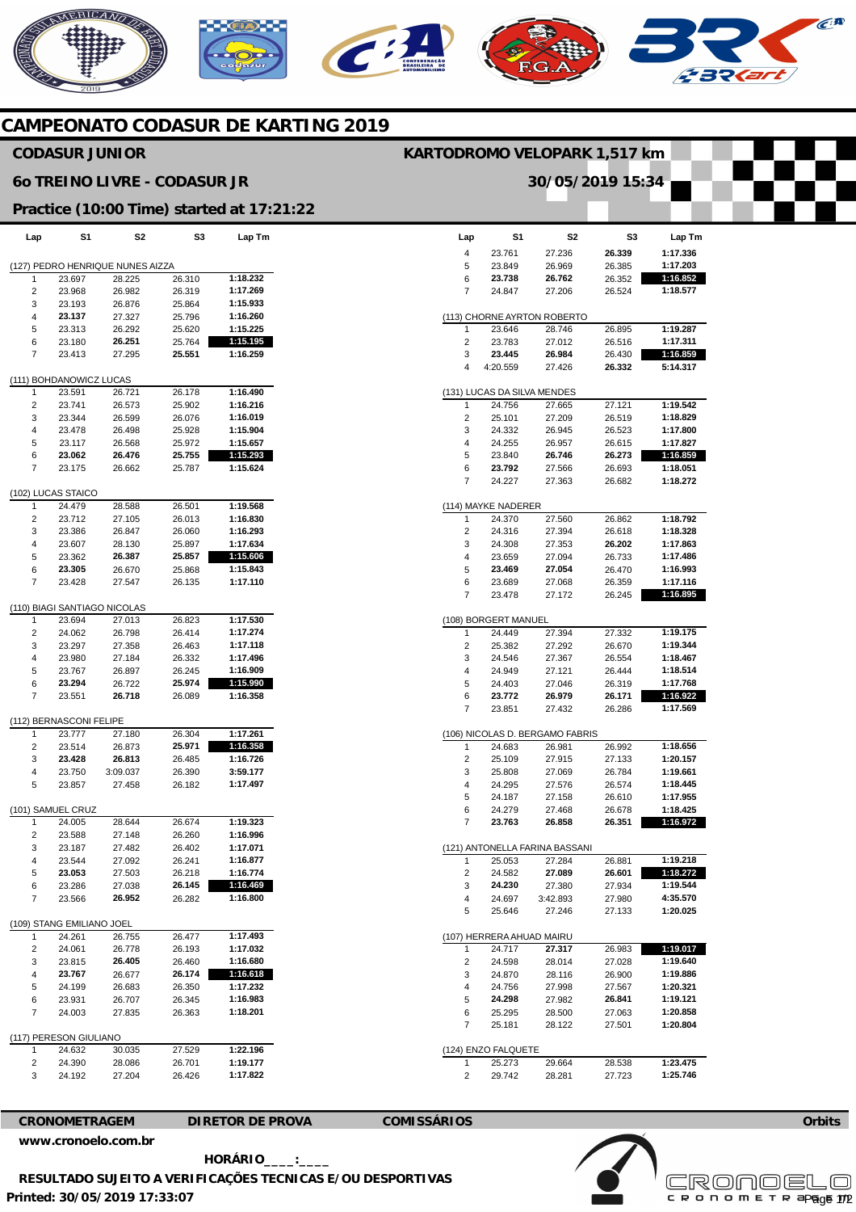# **AERICANO**  $\mathcal{C}$

# **CAMPEONATO CODASUR DE KARTING 2019**

## **CODASUR JUNIOR**

### **6o TREINO LIVRE - CODASUR JR**

### **Practice (10:00 Time) started at 17:21:22**

| Lap                              | S1                           | S2       | S3     | Lap Tm   |  |  |  |  |  |  |
|----------------------------------|------------------------------|----------|--------|----------|--|--|--|--|--|--|
| (127) PEDRO HENRIQUE NUNES AIZZA |                              |          |        |          |  |  |  |  |  |  |
| 1                                | 23.697                       | 28.225   | 26.310 | 1:18.232 |  |  |  |  |  |  |
| 2                                | 23.968                       | 26.982   | 26.319 | 1:17.269 |  |  |  |  |  |  |
| 3                                | 23.193                       | 26.876   | 25.864 | 1:15.933 |  |  |  |  |  |  |
| 4                                | 23.137                       | 27.327   | 25.796 | 1:16.260 |  |  |  |  |  |  |
| 5                                | 23.313                       | 26.292   | 25.620 | 1:15.225 |  |  |  |  |  |  |
| 6                                | 23.180                       | 26.251   | 25.764 | 1:15.195 |  |  |  |  |  |  |
| 7                                | 23.413                       | 27.295   | 25.551 | 1:16.259 |  |  |  |  |  |  |
| (111) BOHDANOWICZ LUCAS          |                              |          |        |          |  |  |  |  |  |  |
| 1                                | 23.591                       | 26.721   | 26.178 | 1:16.490 |  |  |  |  |  |  |
| 2                                | 23.741                       | 26.573   | 25.902 | 1:16.216 |  |  |  |  |  |  |
| 3                                | 23.344                       | 26.599   | 26.076 | 1:16.019 |  |  |  |  |  |  |
| 4                                | 23.478                       | 26.498   | 25.928 | 1:15.904 |  |  |  |  |  |  |
| 5                                | 23.117                       | 26.568   | 25.972 | 1:15.657 |  |  |  |  |  |  |
| 6                                | 23.062                       | 26.476   | 25.755 | 1:15.293 |  |  |  |  |  |  |
| 7                                | 23.175                       | 26.662   | 25.787 | 1:15.624 |  |  |  |  |  |  |
|                                  | (102) LUCAS STAICO           |          |        |          |  |  |  |  |  |  |
| 1                                | 24.479                       | 28.588   | 26.501 | 1:19.568 |  |  |  |  |  |  |
| 2                                | 23.712                       | 27.105   | 26.013 | 1:16.830 |  |  |  |  |  |  |
| 3                                | 23.386                       | 26.847   | 26.060 | 1:16.293 |  |  |  |  |  |  |
| 4                                | 23.607                       | 28.130   | 25.897 | 1:17.634 |  |  |  |  |  |  |
| 5                                | 23.362                       | 26.387   | 25.857 | 1:15.606 |  |  |  |  |  |  |
| 6                                | 23.305                       | 26.670   | 25.868 | 1:15.843 |  |  |  |  |  |  |
| 7                                | 23.428                       | 27.547   | 26.135 | 1:17.110 |  |  |  |  |  |  |
|                                  | (110) BIAGI SANTIAGO NICOLAS |          |        |          |  |  |  |  |  |  |
| 1                                | 23.694                       | 27.013   | 26.823 | 1:17.530 |  |  |  |  |  |  |
| 2                                | 24.062                       | 26.798   | 26.414 | 1:17.274 |  |  |  |  |  |  |
| 3                                | 23.297                       | 27.358   | 26.463 | 1:17.118 |  |  |  |  |  |  |
| 4                                | 23.980                       | 27.184   | 26.332 | 1:17.496 |  |  |  |  |  |  |
| 5                                | 23.767                       | 26.897   | 26.245 | 1:16.909 |  |  |  |  |  |  |
| 6                                | 23.294                       | 26.722   | 25.974 | 1:15.990 |  |  |  |  |  |  |
| 7                                | 23.551                       | 26.718   | 26.089 | 1:16.358 |  |  |  |  |  |  |
|                                  | (112) BERNASCONI FELIPE      |          |        |          |  |  |  |  |  |  |
| 1                                | 23.777                       | 27.180   | 26.304 | 1:17.261 |  |  |  |  |  |  |
| 2                                | 23.514                       | 26.873   | 25.971 | 1:16.358 |  |  |  |  |  |  |
| 3                                | 23.428                       | 26.813   | 26.485 | 1:16.726 |  |  |  |  |  |  |
| 4                                | 23.750                       | 3:09.037 | 26.390 | 3:59.177 |  |  |  |  |  |  |
| 5                                | 23.857                       | 27.458   | 26.182 | 1:17.497 |  |  |  |  |  |  |
|                                  | (101) SAMUEL CRUZ            |          |        |          |  |  |  |  |  |  |
| 1                                | 24.005                       | 28.644   | 26.674 | 1:19.323 |  |  |  |  |  |  |
| 2                                | 23.588                       | 27.148   | 26.260 | 1:16.996 |  |  |  |  |  |  |
| 3                                | 23.187                       | 27.482   | 26.402 | 1:17.071 |  |  |  |  |  |  |
| 4                                | 23.544                       | 27.092   | 26.241 | 1:16.877 |  |  |  |  |  |  |
| 5                                | 23.053                       | 27.503   | 26.218 | 1:16.774 |  |  |  |  |  |  |
| 6                                | 23.286                       | 27.038   | 26.145 | 1:16.469 |  |  |  |  |  |  |
| 7                                | 23.566                       | 26.952   | 26.282 | 1:16.800 |  |  |  |  |  |  |
|                                  | (109) STANG EMILIANO JOEL    |          |        |          |  |  |  |  |  |  |
| 1                                | 24.261                       | 26.755   | 26.477 | 1:17.493 |  |  |  |  |  |  |
| 2                                | 24.061                       | 26.778   | 26.193 | 1:17.032 |  |  |  |  |  |  |
| 3                                | 23.815                       | 26.405   | 26.460 | 1:16.680 |  |  |  |  |  |  |
| 4                                | 23.767                       | 26.677   | 26.174 | 1:16.618 |  |  |  |  |  |  |
| 5                                | 24.199                       | 26.683   | 26.350 | 1:17.232 |  |  |  |  |  |  |
| 6                                | 23.931                       | 26.707   | 26.345 | 1:16.983 |  |  |  |  |  |  |
| 7                                | 24.003                       | 27.835   | 26.363 | 1:18.201 |  |  |  |  |  |  |
| (117) PERESON GIULIANO           |                              |          |        |          |  |  |  |  |  |  |
| 1                                | 24.632                       | 30.035   | 27.529 | 1:22.196 |  |  |  |  |  |  |
| 2                                | 24.390                       | 28.086   | 26.701 | 1:19.177 |  |  |  |  |  |  |
| 3                                | 24.192                       | 27.204   | 26.426 | 1:17.822 |  |  |  |  |  |  |
|                                  |                              |          |        |          |  |  |  |  |  |  |

|        |                                       | 30/05/2019 15:34                |                  |                      |
|--------|---------------------------------------|---------------------------------|------------------|----------------------|
|        |                                       |                                 |                  |                      |
|        |                                       |                                 |                  |                      |
| Lap    | S1                                    | S2                              | S3               | Lap Tm               |
| 4      | 23.761                                | 27.236                          | 26.339           | 1:17.336<br>1:17.203 |
| 5<br>6 | 23.849<br>23.738                      | 26.969<br>26.762                | 26.385<br>26.352 | 1:16.852             |
| 7      | 24.847                                | 27.206                          | 26.524           | 1:18.577             |
|        |                                       |                                 |                  |                      |
|        |                                       | (113) CHORNE AYRTON ROBERTO     |                  |                      |
| 1      | 23.646                                | 28.746                          | 26.895           | 1:19.287             |
| 2<br>3 | 23.783<br>23.445                      | 27.012<br>26.984                | 26.516<br>26.430 | 1:17.311<br>1:16.859 |
| 4      | 4:20.559                              | 27.426                          | 26.332           | 5:14.317             |
|        |                                       |                                 |                  |                      |
| 1      | (131) LUCAS DA SILVA MENDES<br>24.756 | 27.665                          | 27.121           | 1:19.542             |
| 2      | 25.101                                | 27.209                          | 26.519           | 1:18.829             |
| 3      | 24.332                                | 26.945                          | 26.523           | 1:17.800             |
| 4      | 24.255                                | 26.957                          | 26.615           | 1:17.827             |
| 5      | 23.840                                | 26.746                          | 26.273           | 1:16.859             |
| 6      | 23.792                                | 27.566                          | 26.693           | 1:18.051             |
| 7      | 24.227                                | 27.363                          | 26.682           | 1:18.272             |
|        | (114) MAYKE NADERER                   |                                 |                  |                      |
| 1      | 24.370                                | 27.560                          | 26.862           | 1:18.792             |
| 2      | 24.316                                | 27.394                          | 26.618           | 1:18.328             |
| 3      | 24.308                                | 27.353                          | 26.202           | 1:17.863             |
| 4      | 23.659                                | 27.094                          | 26.733           | 1:17.486             |
| 5      | 23.469                                | 27.054                          | 26.470           | 1:16.993             |
| 6      | 23.689                                | 27.068                          | 26.359           | 1:17.116             |
| 7      | 23.478                                | 27.172                          | 26.245           | 1:16.895             |
|        | (108) BORGERT MANUEL                  |                                 |                  |                      |
| 1      | 24.449                                | 27.394                          | 27.332           | 1:19.175             |
| 2      | 25.382                                | 27.292                          | 26.670           | 1:19.344             |
| 3      | 24.546                                | 27.367                          | 26.554           | 1:18.467             |
| 4      | 24.949                                | 27.121                          | 26.444           | 1:18.514             |
| 5      | 24.403                                | 27.046                          | 26.319           | 1:17.768             |
| 6<br>7 | 23.772<br>23.851                      | 26.979<br>27.432                | 26.171<br>26.286 | 1:16.922<br>1:17.569 |
|        |                                       |                                 |                  |                      |
|        |                                       | (106) NICOLAS D. BERGAMO FABRIS |                  |                      |
| 1<br>2 | 24.683<br>25.109                      | 26.981<br>27.915                | 26.992<br>27.133 | 1:18.656<br>1:20.157 |
| 3      | 25.808                                | 27.069                          | 26.784           | 1:19.661             |
| 4      | 24.295                                | 27.576                          | 26.574           | 1:18.445             |
| 5      | 24.187                                | 27.158                          | 26.610           | 1:17.955             |
| 6      | 24.279                                | 27.468                          | 26.678           | 1:18.425             |
| 7      | 23.763                                | 26.858                          | 26.351           | 1:16.972             |
|        |                                       | (121) ANTONELLA FARINA BASSANI  |                  |                      |
| 1      | 25.053                                | 27.284                          | 26.881           | 1:19.218             |
| 2      | 24.582                                | 27.089                          | 26.601           | 1:18.272             |
| 3      | 24.230                                | 27.380                          | 27.934           | 1:19.544             |
| 4      | 24.697                                | 3:42.893                        | 27.980           | 4:35.570             |
| 5      | 25.646                                | 27.246                          | 27.133           | 1:20.025             |
|        | (107) HERRERA AHUAD MAIRU             |                                 |                  |                      |
| 1      | 24.717                                | 27.317                          | 26.983           | 1:19.017             |
| 2      | 24.598                                | 28.014                          | 27.028           | 1:19.640             |
| 3      | 24.870                                | 28.116                          | 26.900           | 1:19.886             |
| 4      | 24.756                                | 27.998                          | 27.567           | 1:20.321             |
| 5      | 24.298                                | 27.982                          | 26.841           | 1:19.121             |
| 6      | 25.295                                | 28.500                          | 27.063           | 1:20.858             |
| 7      | 25.181                                | 28.122                          | 27.501           | 1:20.804             |
|        | (124) ENZO FALQUETE                   |                                 |                  |                      |
| 1      | 25.273                                | 29.664                          | 28.538           | 1:23.475             |
| 2      | 29.742                                | 28.281                          | 27.723           | 1:25.746             |

**KARTODROMO VELOPARK 1,517 km** 





**Printed: 30/05/2019 17:33:07 HORÁRIO\_\_\_\_:\_\_\_\_ RESULTADO SUJEITO A VERIFICAÇÕES TECNICAS E/OU DESPORTIVAS** 



**Orbits** 

 $\widehat{C}^{A}$